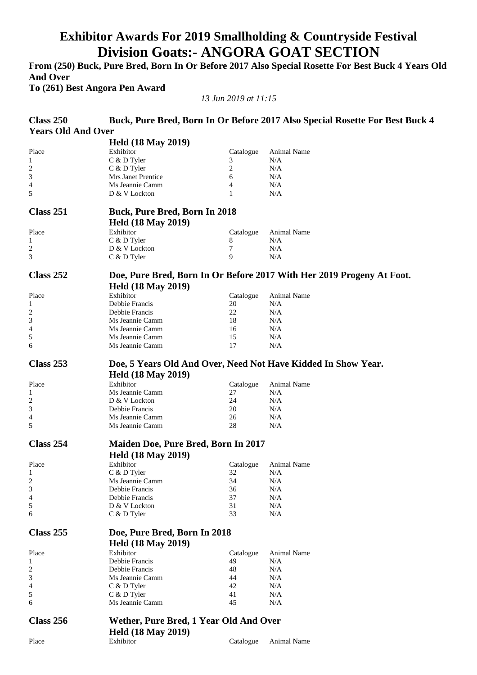## **Exhibitor Awards For 2019 Smallholding & Countryside Festival Division Goats:- ANGORA GOAT SECTION**

**From (250) Buck, Pure Bred, Born In Or Before 2017 Also Special Rosette For Best Buck 4 Years Old And Over** 

**To (261) Best Angora Pen Award** 

*13 Jun 2019 at 11:15* 

| Class 250                 |                                                               |           | Buck, Pure Bred, Born In Or Before 2017 Also Special Rosette For Best Buck 4 |
|---------------------------|---------------------------------------------------------------|-----------|------------------------------------------------------------------------------|
| <b>Years Old And Over</b> |                                                               |           |                                                                              |
|                           | <b>Held (18 May 2019)</b>                                     |           |                                                                              |
| Place                     | Exhibitor                                                     | Catalogue | Animal Name                                                                  |
| 1                         | C & D Tyler                                                   | 3         | N/A                                                                          |
| $\overline{\mathbf{c}}$   | C & D Tyler                                                   | 2         | N/A                                                                          |
| 3                         | Mrs Janet Prentice                                            | 6         | N/A                                                                          |
| 4                         | Ms Jeannie Camm                                               | 4         | N/A                                                                          |
| 5                         | D & V Lockton                                                 | 1         | N/A                                                                          |
|                           |                                                               |           |                                                                              |
| Class 251                 | <b>Buck, Pure Bred, Born In 2018</b>                          |           |                                                                              |
|                           | <b>Held (18 May 2019)</b>                                     |           |                                                                              |
| Place                     | Exhibitor                                                     | Catalogue | <b>Animal Name</b>                                                           |
| 1                         | C & D Tyler                                                   | 8         | N/A                                                                          |
| $\overline{\mathbf{c}}$   | D & V Lockton                                                 | 7         | N/A                                                                          |
| 3                         | C & D Tyler                                                   | 9         | N/A                                                                          |
| Class 252                 |                                                               |           | Doe, Pure Bred, Born In Or Before 2017 With Her 2019 Progeny At Foot.        |
|                           | <b>Held (18 May 2019)</b>                                     |           |                                                                              |
| Place                     | Exhibitor                                                     | Catalogue | Animal Name                                                                  |
| 1                         | Debbie Francis                                                | 20        | N/A                                                                          |
| $\overline{c}$            | Debbie Francis                                                | 22        | N/A                                                                          |
| 3                         | Ms Jeannie Camm                                               | 18        | N/A                                                                          |
| 4                         | Ms Jeannie Camm                                               | 16        | N/A                                                                          |
| 5                         | Ms Jeannie Camm                                               | 15        | N/A                                                                          |
| 6                         | Ms Jeannie Camm                                               | 17        | N/A                                                                          |
|                           |                                                               |           |                                                                              |
| Class 253                 | Doe, 5 Years Old And Over, Need Not Have Kidded In Show Year. |           |                                                                              |
|                           | <b>Held (18 May 2019)</b>                                     |           |                                                                              |
| Place                     | Exhibitor                                                     | Catalogue | Animal Name                                                                  |
| 1                         | Ms Jeannie Camm                                               | 27        | N/A                                                                          |
| $\overline{c}$            | D & V Lockton                                                 | 24        | N/A                                                                          |
| 3                         | Debbie Francis                                                | 20        | N/A                                                                          |
| 4                         | Ms Jeannie Camm                                               | 26        | N/A                                                                          |
| 5                         | Ms Jeannie Camm                                               | 28        | N/A                                                                          |
| Class 254                 | <b>Maiden Doe, Pure Bred, Born In 2017</b>                    |           |                                                                              |
|                           | <b>Held (18 May 2019)</b>                                     |           |                                                                              |
| Place                     | Exhibitor                                                     | Catalogue | Animal Name                                                                  |
| 1                         | C & D Tyler                                                   | 32        | N/A                                                                          |
| $\overline{\mathbf{c}}$   | Ms Jeannie Camm                                               | 34        | N/A                                                                          |
| 3                         | Debbie Francis                                                | 36        | N/A                                                                          |
| 4                         | Debbie Francis                                                | 37        | N/A                                                                          |
| 5                         | D & V Lockton                                                 | 31        | N/A                                                                          |
| 6                         | C & D Tyler                                                   | 33        | N/A                                                                          |
| Class 255                 | Doe, Pure Bred, Born In 2018                                  |           |                                                                              |
|                           | <b>Held (18 May 2019)</b>                                     |           |                                                                              |
|                           |                                                               |           |                                                                              |
| Place                     | Exhibitor                                                     | Catalogue | Animal Name                                                                  |
| 1                         | Debbie Francis                                                | 49        | N/A                                                                          |
| 2                         | Debbie Francis                                                | 48        | N/A                                                                          |
| 3                         | Ms Jeannie Camm                                               | 44        | N/A                                                                          |
| 4                         | C & D Tyler                                                   | 42        | N/A                                                                          |
| 5                         | C & D Tyler                                                   | 41        | N/A                                                                          |
| 6                         | Ms Jeannie Camm                                               | 45        | N/A                                                                          |
| Class 256                 | Wether, Pure Bred, 1 Year Old And Over                        |           |                                                                              |
|                           | <b>Held (18 May 2019)</b>                                     |           |                                                                              |
| Place                     | Exhibitor                                                     | Catalogue | Animal Name                                                                  |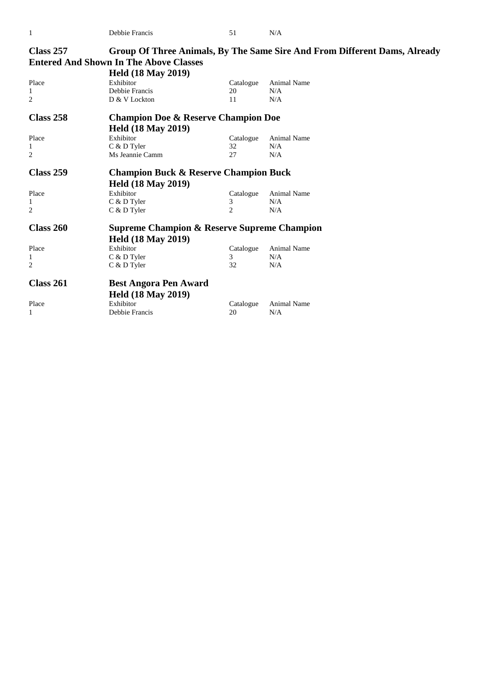| <b>Class 257</b> | <b>Entered And Shown In The Above Classes</b><br><b>Held (18 May 2019)</b> |           | Group Of Three Animals, By The Same Sire And From Different Dams, Already |
|------------------|----------------------------------------------------------------------------|-----------|---------------------------------------------------------------------------|
|                  | Exhibitor                                                                  |           | Animal Name                                                               |
| Place            |                                                                            | Catalogue |                                                                           |
| 1                | Debbie Francis                                                             | 20        | N/A                                                                       |
| 2                | D & V Lockton                                                              | 11        | N/A                                                                       |
| <b>Class 258</b> | <b>Champion Doe &amp; Reserve Champion Doe</b>                             |           |                                                                           |
|                  | <b>Held (18 May 2019)</b>                                                  |           |                                                                           |
| Place            | Exhibitor                                                                  | Catalogue | Animal Name                                                               |
| 1                | C & D Tyler                                                                | 32        | N/A                                                                       |
| 2                | Ms Jeannie Camm                                                            | 27        | N/A                                                                       |
| <b>Class 259</b> | <b>Champion Buck &amp; Reserve Champion Buck</b>                           |           |                                                                           |
|                  | <b>Held (18 May 2019)</b>                                                  |           |                                                                           |
| Place            | Exhibitor                                                                  | Catalogue | Animal Name                                                               |
| 1                | C & D Tyler                                                                | 3         | N/A                                                                       |
| 2                | $C$ & D Tyler                                                              | 2         | N/A                                                                       |
| Class 260        | <b>Supreme Champion &amp; Reserve Supreme Champion</b>                     |           |                                                                           |
|                  | <b>Held (18 May 2019)</b>                                                  |           |                                                                           |
| Place            | Exhibitor                                                                  | Catalogue | <b>Animal Name</b>                                                        |
| 1                | C & D Tyler                                                                | 3         | N/A                                                                       |
| 2                | C & D Tyler                                                                | 32        | N/A                                                                       |
| Class 261        | <b>Best Angora Pen Award</b><br><b>Held (18 May 2019)</b>                  |           |                                                                           |
| Place            | Exhibitor                                                                  | Catalogue | Animal Name                                                               |
| 1                | Debbie Francis                                                             | 20        | N/A                                                                       |
|                  |                                                                            |           |                                                                           |

1 Debbie Francis 51 N/A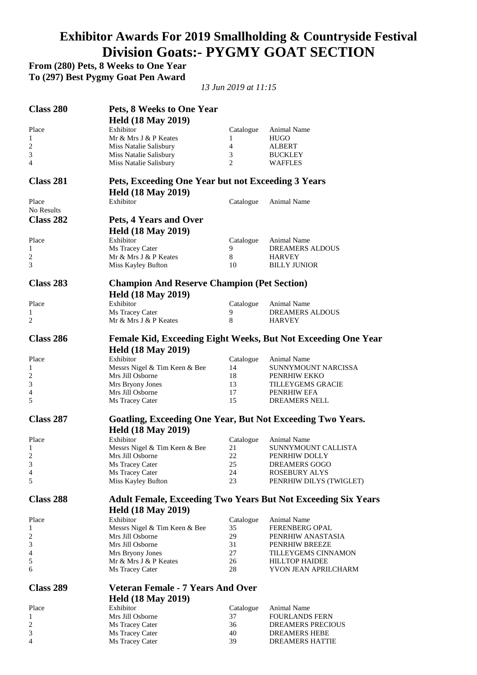# **Exhibitor Awards For 2019 Smallholding & Countryside Festival Division Goats:- PYGMY GOAT SECTION**

**From (280) Pets, 8 Weeks to One Year** 

**To (297) Best Pygmy Goat Pen Award** 

*13 Jun 2019 at 11:15* 

| Class 280           | Pets, 8 Weeks to One Year                                                       |                 |                                                                      |
|---------------------|---------------------------------------------------------------------------------|-----------------|----------------------------------------------------------------------|
|                     | <b>Held (18 May 2019)</b>                                                       |                 |                                                                      |
| Place               | Exhibitor                                                                       | Catalogue       | Animal Name                                                          |
| $\mathbf{1}$        | Mr & Mrs J & P Keates                                                           | 1               | <b>HUGO</b>                                                          |
| 2                   | Miss Natalie Salisbury                                                          | $\overline{4}$  | ALBERT                                                               |
| 3                   | Miss Natalie Salisbury                                                          | 3               | <b>BUCKLEY</b>                                                       |
| 4                   | Miss Natalie Salisbury                                                          | 2               | <b>WAFFLES</b>                                                       |
| Class 281           | Pets, Exceeding One Year but not Exceeding 3 Years<br><b>Held (18 May 2019)</b> |                 |                                                                      |
| Place<br>No Results | Exhibitor                                                                       | Catalogue       | Animal Name                                                          |
| Class 282           | Pets, 4 Years and Over                                                          |                 |                                                                      |
|                     | <b>Held (18 May 2019)</b>                                                       |                 |                                                                      |
| Place               | Exhibitor                                                                       | Catalogue       | Animal Name                                                          |
| $\mathbf{1}$        | Ms Tracey Cater                                                                 | 9               | DREAMERS ALDOUS                                                      |
| 2                   | Mr & Mrs J & P Keates                                                           | 8               | HARVEY                                                               |
| 3                   | Miss Kayley Bufton                                                              | 10              | <b>BILLY JUNIOR</b>                                                  |
| Class 283           | <b>Champion And Reserve Champion (Pet Section)</b>                              |                 |                                                                      |
|                     | <b>Held (18 May 2019)</b>                                                       |                 |                                                                      |
| Place               | Exhibitor                                                                       |                 |                                                                      |
| 1                   | Ms Tracey Cater                                                                 | Catalogue<br>9  | Animal Name<br>DREAMERS ALDOUS                                       |
| 2                   | Mr & Mrs J & P Keates                                                           | 8               | HARVEY                                                               |
|                     |                                                                                 |                 |                                                                      |
| Class 286           | <b>Held (18 May 2019)</b>                                                       |                 | Female Kid, Exceeding Eight Weeks, But Not Exceeding One Year        |
| Place               | Exhibitor                                                                       | Catalogue       | Animal Name                                                          |
| 1                   | Messrs Nigel & Tim Keen & Bee                                                   | 14              | SUNNYMOUNT NARCISSA                                                  |
| 2                   | Mrs Jill Osborne                                                                | 18              | PENRHIW EKKO                                                         |
| 3                   | Mrs Bryony Jones                                                                | 13              | <b>TILLEYGEMS GRACIE</b>                                             |
| 4                   | Mrs Jill Osborne                                                                | 17              | PENRHIW EFA                                                          |
| 5                   | Ms Tracey Cater                                                                 | 15              | <b>DREAMERS NELL</b>                                                 |
| <b>Class 287</b>    | Goatling, Exceeding One Year, But Not Exceeding Two Years.                      |                 |                                                                      |
|                     | <b>Held (18 May 2019)</b>                                                       |                 |                                                                      |
| Place<br>1          | Exhibitor<br>Messrs Nigel & Tim Keen & Bee                                      | Catalogue<br>21 | Animal Name<br>SUNNYMOUNT CALLISTA                                   |
| 2                   | Mrs Jill Osborne                                                                | 22              | PENRHIW DOLLY                                                        |
| 3                   | Ms Tracey Cater                                                                 | 25              | DREAMERS GOGO                                                        |
| 4                   | Ms Tracey Cater                                                                 | 24              | <b>ROSEBURY ALYS</b>                                                 |
| 5                   | Miss Kayley Bufton                                                              | 23              | PENRHIW DILYS (TWIGLET)                                              |
| Class 288           |                                                                                 |                 | <b>Adult Female, Exceeding Two Years But Not Exceeding Six Years</b> |
|                     | <b>Held (18 May 2019)</b>                                                       |                 |                                                                      |
| Place               | Exhibitor                                                                       | Catalogue       | Animal Name                                                          |
| 1                   | Messrs Nigel & Tim Keen & Bee                                                   | 35              | <b>FERENBERG OPAL</b>                                                |
| 2                   | Mrs Jill Osborne                                                                | 29              | PENRHIW ANASTASIA                                                    |
| 3                   | Mrs Jill Osborne                                                                | 31              | PENRHIW BREEZE                                                       |
| 4                   | Mrs Bryony Jones                                                                | 27              | TILLEYGEMS CINNAMON                                                  |
| 5                   | Mr & Mrs J & P Keates                                                           | 26              | <b>HILLTOP HAIDEE</b>                                                |
| 6                   | Ms Tracey Cater                                                                 | 28              | YVON JEAN APRILCHARM                                                 |
| <b>Class 289</b>    | <b>Veteran Female - 7 Years And Over</b>                                        |                 |                                                                      |
|                     | <b>Held (18 May 2019)</b>                                                       |                 |                                                                      |
| Place               | Exhibitor                                                                       | Catalogue       | Animal Name                                                          |
| $\mathbf{1}$        | Mrs Jill Osborne                                                                | 37              | <b>FOURLANDS FERN</b>                                                |
| 2                   | Ms Tracey Cater                                                                 | 36              | DREAMERS PRECIOUS                                                    |
| 3                   | Ms Tracey Cater                                                                 | 40              | <b>DREAMERS HEBE</b>                                                 |
| 4                   | Ms Tracey Cater                                                                 | 39              | DREAMERS HATTIE                                                      |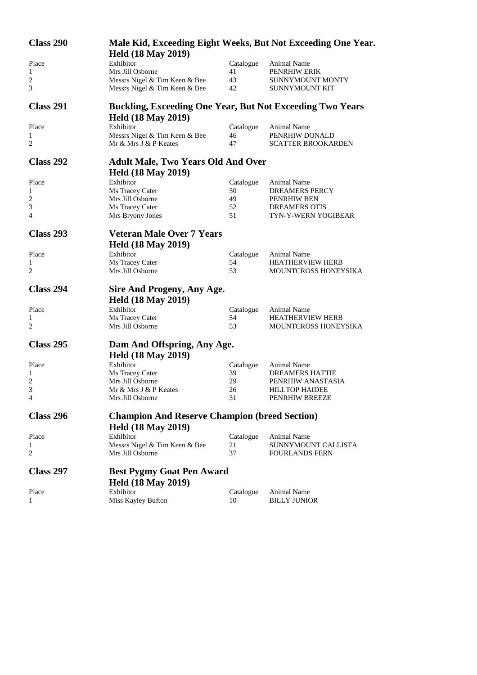| Class 290        |                                                                  |                 | Male Kid, Exceeding Eight Weeks, But Not Exceeding One Year. |
|------------------|------------------------------------------------------------------|-----------------|--------------------------------------------------------------|
|                  | <b>Held (18 May 2019)</b>                                        |                 |                                                              |
| Place            | Exhibitor                                                        | Catalogue       | Animal Name                                                  |
| 1                | Mrs Jill Osborne                                                 | 41              | PENRHIW ERIK                                                 |
| 2                | Messrs Nigel & Tim Keen & Bee                                    | 43              | SUNNYMOUNT MONTY                                             |
| 3                | Messrs Nigel & Tim Keen & Bee                                    | 42              | SUNNYMOUNT KIT                                               |
| <b>Class 291</b> | <b>Buckling, Exceeding One Year, But Not Exceeding Two Years</b> |                 |                                                              |
|                  | <b>Held (18 May 2019)</b>                                        |                 |                                                              |
| Place            | Exhibitor                                                        | Catalogue       | Animal Name                                                  |
| 1<br>2           | Messrs Nigel & Tim Keen & Bee<br>Mr & Mrs J & P Keates           | 46<br>47        | PENRHIW DONALD<br><b>SCATTER BROOKARDEN</b>                  |
| Class 292        | <b>Adult Male, Two Years Old And Over</b>                        |                 |                                                              |
|                  | <b>Held (18 May 2019)</b>                                        |                 |                                                              |
| Place            | Exhibitor                                                        | Catalogue       | Animal Name                                                  |
| 1                | Ms Tracey Cater                                                  | 50              | <b>DREAMERS PERCY</b>                                        |
| 2                | Mrs Jill Osborne                                                 | 49              | PENRHIW BEN                                                  |
| 3                | Ms Tracey Cater                                                  | 52              | <b>DREAMERS OTIS</b>                                         |
| 4                | Mrs Bryony Jones                                                 | 51              | TYN-Y-WERN YOGIBEAR                                          |
| Class 293        | <b>Veteran Male Over 7 Years</b>                                 |                 |                                                              |
|                  | <b>Held (18 May 2019)</b>                                        |                 |                                                              |
| Place            | Exhibitor                                                        | Catalogue       | Animal Name                                                  |
| 1                | Ms Tracey Cater                                                  | 54              | <b>HEATHERVIEW HERB</b>                                      |
| 2                | Mrs Jill Osborne                                                 | 53              | MOUNTCROSS HONEYSIKA                                         |
| Class 294        | Sire And Progeny, Any Age.                                       |                 |                                                              |
|                  | <b>Held (18 May 2019)</b>                                        |                 |                                                              |
|                  | Exhibitor                                                        |                 |                                                              |
| Place            |                                                                  | Catalogue<br>54 | Animal Name                                                  |
| 1<br>2           | Ms Tracey Cater<br>Mrs Jill Osborne                              | 53              | <b>HEATHERVIEW HERB</b>                                      |
|                  |                                                                  |                 | <b>MOUNTCROSS HONEYSIKA</b>                                  |
| <b>Class 295</b> | Dam And Offspring, Any Age.                                      |                 |                                                              |
|                  | <b>Held (18 May 2019)</b>                                        |                 |                                                              |
| Place            | Exhibitor                                                        | Catalogue       | Animal Name                                                  |
| 1                | Ms Tracey Cater                                                  | 39              | <b>DREAMERS HATTIE</b>                                       |
| $\overline{c}$   | Mrs Jill Osborne                                                 | 29              | PENRHIW ANASTASIA                                            |
| 3                | Mr & Mrs J & P Keates                                            | 26              | <b>HILLTOP HAIDEE</b>                                        |
| 4                | Mrs Jill Osborne                                                 | 31              | PENRHIW BREEZE                                               |
| Class 296        | <b>Champion And Reserve Champion (breed Section)</b>             |                 |                                                              |
|                  | <b>Held (18 May 2019)</b>                                        |                 |                                                              |
| Place            | Exhibitor                                                        | Catalogue       | <b>Animal Name</b>                                           |
| 1                | Messrs Nigel & Tim Keen & Bee                                    | 21              | SUNNYMOUNT CALLISTA                                          |
| 2                | Mrs Jill Osborne                                                 | 37              | <b>FOURLANDS FERN</b>                                        |
| Class 297        | <b>Best Pygmy Goat Pen Award</b>                                 |                 |                                                              |
|                  | <b>Held (18 May 2019)</b>                                        |                 |                                                              |
| Place            | Exhibitor                                                        |                 | Animal Name                                                  |
| 1                | Miss Kayley Bufton                                               | Catalogue<br>10 | <b>BILLY JUNIOR</b>                                          |
|                  |                                                                  |                 |                                                              |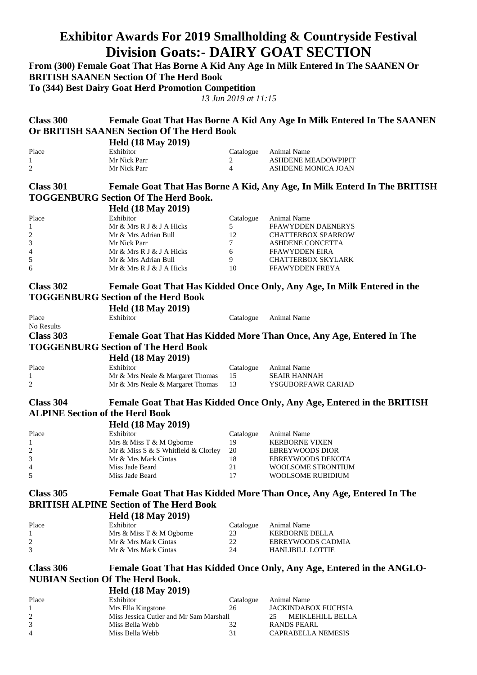### **Exhibitor Awards For 2019 Smallholding & Countryside Festival Division Goats:- DAIRY GOAT SECTION**

**From (300) Female Goat That Has Borne A Kid Any Age In Milk Entered In The SAANEN Or BRITISH SAANEN Section Of The Herd Book To (344) Best Dairy Goat Herd Promotion Competition** *13 Jun 2019 at 11:15*  **Class 300 Female Goat That Has Borne A Kid Any Age In Milk Entered In The SAANEN Or BRITISH SAANEN Section Of The Herd Book Held (18 May 2019)**  Place Exhibitor Exhibitor Catalogue Animal Name 1 Mr Nick Parr 2 ASHDENE MEADOWPIPIT 2 Mr Nick Parr 4 ASHDENE MONICA JOAN **Class 301 Female Goat That Has Borne A Kid, Any Age, In Milk Enterd In The BRITISH TOGGENBURG Section Of The Herd Book. Held (18 May 2019)**  Place Exhibitor Exhibitor Catalogue Animal Name 1 Mr & Mrs R J & J A Hicks 5 FFAWYDDEN DAENERYS 2 Mr & Mrs Adrian Bull 12 CHATTERBOX SPARROW 3 Mr Nick Parr 7 ASHDENE CONCETTA 4 Mr & Mrs R J & J A Hicks 6 FFAWYDDEN EIRA<br>5 Mr & Mrs Adrian Bull (9) CHATTERROX SKY 5 Mr & Mrs Adrian Bull 9 CHATTERBOX SKYLARK 6 Mr & Mrs R J & J A Hicks 10 FFAWYDDEN FREYA **Class 302 Female Goat That Has Kidded Once Only, Any Age, In Milk Entered in the TOGGENBURG Section of the Herd Book Held (18 May 2019)**  Place Exhibitor Exhibitor Catalogue Animal Name No Results **Class 303 Female Goat That Has Kidded More Than Once, Any Age, Entered In The TOGGENBURG Section of The Herd Book Held (18 May 2019)**  Place Exhibitor Catalogue Animal Name 1 1 Mr & Mrs Neale & Margaret Thomas 15 SEAIR HANNAH<br>2 Mr & Mrs Neale & Margaret Thomas 13 SSGUBORFAWR CARIAD 2 Mr & Mrs Neale & Margaret Thomas **Class 304 Female Goat That Has Kidded Once Only, Any Age, Entered in the BRITISH ALPINE Section of the Herd Book Held (18 May 2019)**  Place Exhibitor Exhibitor Catalogue Animal Name 1 Mrs & Miss T & M Ogborne 19 KERBORNE VIXEN<br>2 Mr & Miss S & S Whitfield & Clorley 20 EBREYWOODS DIOR 2 Mr & Miss S & S Whitfield & Clorley 3 Mr & Mrs Mark Cintas 18 EBREYWOODS DEKOTA 4 Miss Jade Beard 21 WOOLSOME STRONTIUM 5 Miss Jade Beard 17 WOOLSOME RUBIDIUM **Class 305 Female Goat That Has Kidded More Than Once, Any Age, Entered In The BRITISH ALPINE Section of The Herd Book Held (18 May 2019)**  Place Exhibitor Exhibitor Catalogue Animal Name 1 Mrs & Miss T & M Ogborne 23 KERBORNE DELLA 2 2 Mr & Mrs Mark Cintas 22 EBREYWOODS CADMIA<br>3 Mr & Mrs Mark Cintas 24 HANLIBILL LOTTIE Mr & Mrs Mark Cintas **Class 306 Female Goat That Has Kidded Once Only, Any Age, Entered in the ANGLO-NUBIAN Section Of The Herd Book. Held (18 May 2019)**  Place Exhibitor Catalogue Animal Name<br>
1 Mrs Ella Kingstone 26 JACKINDAB 1 Mrs Ella Kingstone 26 JACKINDABOX FUCHSIA 2 Miss Jessica Cutler and Mr Sam Marshall 25 MEIKLEHILL BELLA

3 Miss Bella Webb 32 RANDS PEARL

4 Miss Bella Webb 31 CAPRABELLA NEMESIS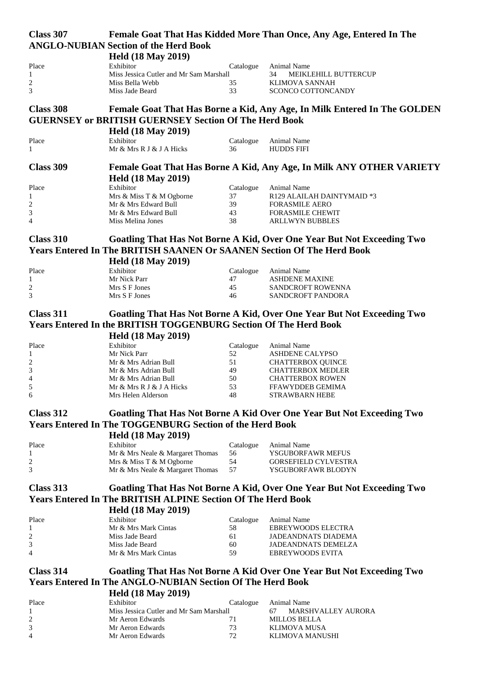| Class 307                   |                                                                               |                 | Female Goat That Has Kidded More Than Once, Any Age, Entered In The          |
|-----------------------------|-------------------------------------------------------------------------------|-----------------|------------------------------------------------------------------------------|
|                             | <b>ANGLO-NUBIAN Section of the Herd Book</b>                                  |                 |                                                                              |
|                             | <b>Held (18 May 2019)</b>                                                     |                 |                                                                              |
| Place                       | Exhibitor                                                                     | Catalogue       | Animal Name                                                                  |
| 1                           | Miss Jessica Cutler and Mr Sam Marshall                                       |                 | 34<br><b>MEIKLEHILL BUTTERCUP</b>                                            |
| 2                           | Miss Bella Webb                                                               | 35              | KLIMOVA SANNAH                                                               |
| 3                           | Miss Jade Beard                                                               | 33              | SCONCO COTTONCANDY                                                           |
|                             |                                                                               |                 |                                                                              |
| <b>Class 308</b>            |                                                                               |                 | Female Goat That Has Borne a Kid, Any Age, In Milk Entered In The GOLDEN     |
|                             | <b>GUERNSEY or BRITISH GUERNSEY Section Of The Herd Book</b>                  |                 |                                                                              |
|                             |                                                                               |                 |                                                                              |
|                             | <b>Held (18 May 2019)</b>                                                     |                 |                                                                              |
| Place                       | Exhibitor                                                                     | Catalogue       | Animal Name                                                                  |
| 1                           | Mr & Mrs R J & J A Hicks                                                      | 36              | <b>HUDDS FIFI</b>                                                            |
| <b>Class 309</b>            |                                                                               |                 |                                                                              |
|                             |                                                                               |                 | Female Goat That Has Borne A Kid, Any Age, In Milk ANY OTHER VARIETY         |
|                             | <b>Held (18 May 2019)</b>                                                     |                 |                                                                              |
| Place                       | Exhibitor                                                                     | Catalogue       | Animal Name                                                                  |
| 1                           | Mrs & Miss T & M Ogborne                                                      | 37              | R129 ALAILAH DAINTYMAID *3                                                   |
| 2                           | Mr & Mrs Edward Bull                                                          | 39              | <b>FORASMILE AERO</b>                                                        |
| $\mathfrak{Z}$              | Mr & Mrs Edward Bull                                                          | 43              | <b>FORASMILE CHEWIT</b>                                                      |
| $\overline{4}$              | Miss Melina Jones                                                             | 38              | <b>ARLLWYN BUBBLES</b>                                                       |
|                             |                                                                               |                 |                                                                              |
| <b>Class 310</b>            |                                                                               |                 | Goatling That Has Not Borne A Kid, Over One Year But Not Exceeding Two       |
|                             | <b>Years Entered In The BRITISH SAANEN Or SAANEN Section Of The Herd Book</b> |                 |                                                                              |
|                             | <b>Held (18 May 2019)</b>                                                     |                 |                                                                              |
| Place                       | Exhibitor                                                                     | Catalogue       | Animal Name                                                                  |
| 1                           | Mr Nick Parr                                                                  | 47              | <b>ASHDENE MAXINE</b>                                                        |
| $\overline{\mathbf{c}}$     | Mrs S F Jones                                                                 | 45              | SANDCROFT ROWENNA                                                            |
| 3                           | Mrs S F Jones                                                                 | 46              | SANDCROFT PANDORA                                                            |
|                             |                                                                               |                 |                                                                              |
| <b>Class 311</b>            |                                                                               |                 | Goatling That Has Not Borne A Kid, Over One Year But Not Exceeding Two       |
|                             | <b>Years Entered In the BRITISH TOGGENBURG Section Of The Herd Book</b>       |                 |                                                                              |
|                             | <b>Held (18 May 2019)</b>                                                     |                 |                                                                              |
| Place                       | Exhibitor                                                                     | Catalogue       | Animal Name                                                                  |
| 1                           | Mr Nick Parr                                                                  | 52              | <b>ASHDENE CALYPSO</b>                                                       |
| $\overline{\mathbf{c}}$     | Mr & Mrs Adrian Bull                                                          | 51              | <b>CHATTERBOX QUINCE</b>                                                     |
| $\ensuremath{\mathfrak{Z}}$ | Mr & Mrs Adrian Bull                                                          | 49              | <b>CHATTERBOX MEDLER</b>                                                     |
| $\overline{4}$              | Mr & Mrs Adrian Bull                                                          | 50              | <b>CHATTERBOX ROWEN</b>                                                      |
| 5                           | Mr & Mrs R J & J A Hicks                                                      | 53              | FFAWYDDEB GEMIMA                                                             |
| 6                           | Mrs Helen Alderson                                                            | 48              | <b>STRAWBARN HEBE</b>                                                        |
|                             |                                                                               |                 |                                                                              |
| Class 312                   |                                                                               |                 | <b>Goatling That Has Not Borne A Kid Over One Year But Not Exceeding Two</b> |
|                             | <b>Years Entered In The TOGGENBURG Section of the Herd Book</b>               |                 |                                                                              |
|                             | <b>Held (18 May 2019)</b>                                                     |                 |                                                                              |
|                             |                                                                               |                 |                                                                              |
| Place<br>1                  | Exhibitor<br>Mr & Mrs Neale & Margaret Thomas                                 | Catalogue<br>56 | Animal Name<br>YSGUBORFAWR MEFUS                                             |
| 2                           | Mrs & Miss T & M Ogborne                                                      | 54              | <b>GORSEFIELD CYLVESTRA</b>                                                  |
| 3                           | Mr & Mrs Neale & Margaret Thomas                                              | 57              | YSGUBORFAWR BLODYN                                                           |
|                             |                                                                               |                 |                                                                              |
| <b>Class 313</b>            |                                                                               |                 | Goatling That Has Not Borne A Kid, Over One Year But Not Exceeding Two       |
|                             | <b>Years Entered In The BRITISH ALPINE Section Of The Herd Book</b>           |                 |                                                                              |
|                             |                                                                               |                 |                                                                              |
|                             | <b>Held (18 May 2019)</b>                                                     |                 |                                                                              |
| Place                       | Exhibitor                                                                     | Catalogue       | Animal Name                                                                  |
| 1                           | Mr & Mrs Mark Cintas                                                          | 58              | EBREYWOODS ELECTRA                                                           |
| 2                           | Miss Jade Beard                                                               | 61              | <b>JADEANDNATS DIADEMA</b>                                                   |
| 3<br>$\overline{4}$         | Miss Jade Beard<br>Mr & Mrs Mark Cintas                                       | 60<br>59        | <b>JADEANDNATS DEMELZA</b><br><b>EBREYWOODS EVITA</b>                        |
|                             |                                                                               |                 |                                                                              |
| Class 314                   |                                                                               |                 |                                                                              |
|                             |                                                                               |                 | <b>Goatling That Has Not Borne A Kid Over One Year But Not Exceeding Two</b> |
|                             | <b>Years Entered In The ANGLO-NUBIAN Section Of The Herd Book</b>             |                 |                                                                              |
|                             | <b>Held (18 May 2019)</b>                                                     |                 |                                                                              |
| Place                       | Exhibitor                                                                     | Catalogue       | Animal Name                                                                  |
| 1                           | Miss Jessica Cutler and Mr Sam Marshall                                       |                 | <b>MARSHVALLEY AURORA</b><br>67                                              |
| $\overline{\mathbf{c}}$     | Mr Aeron Edwards                                                              | 71              | <b>MILLOS BELLA</b>                                                          |
| 3                           | Mr Aeron Edwards                                                              | 73              | <b>KLIMOVA MUSA</b>                                                          |
| $\overline{4}$              | Mr Aeron Edwards                                                              | 72              | KLIMOVA MANUSHI                                                              |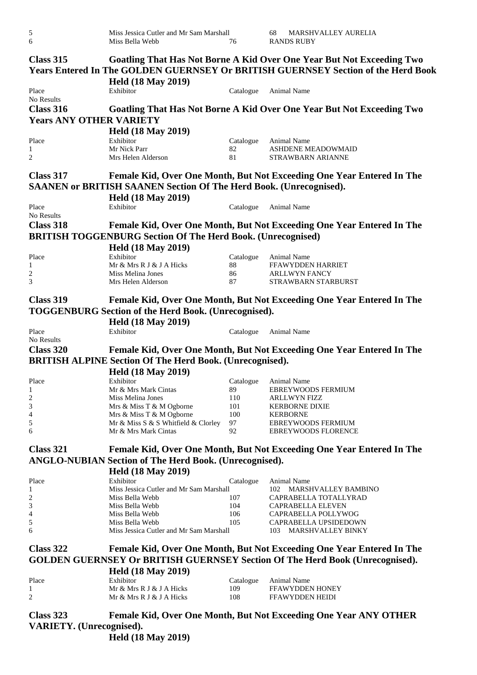| 5<br>6                          | Miss Jessica Cutler and Mr Sam Marshall<br>Miss Bella Webb                | 76        | 68<br><b>MARSHVALLEY AURELIA</b><br><b>RANDS RUBY</b>                                                                                                             |
|---------------------------------|---------------------------------------------------------------------------|-----------|-------------------------------------------------------------------------------------------------------------------------------------------------------------------|
| Class 315                       |                                                                           |           | Goatling That Has Not Borne A Kid Over One Year But Not Exceeding Two<br><b>Years Entered In The GOLDEN GUERNSEY Or BRITISH GUERNSEY Section of the Herd Book</b> |
|                                 | <b>Held (18 May 2019)</b>                                                 |           |                                                                                                                                                                   |
| Place<br>No Results             | Exhibitor                                                                 | Catalogue | Animal Name                                                                                                                                                       |
| <b>Class 316</b>                |                                                                           |           | <b>Goatling That Has Not Borne A Kid Over One Year But Not Exceeding Two</b>                                                                                      |
|                                 |                                                                           |           |                                                                                                                                                                   |
| <b>Years ANY OTHER VARIETY</b>  |                                                                           |           |                                                                                                                                                                   |
|                                 | <b>Held (18 May 2019)</b>                                                 |           |                                                                                                                                                                   |
| Place                           | Exhibitor                                                                 | Catalogue | Animal Name                                                                                                                                                       |
| 1                               | Mr Nick Parr                                                              | 82        | <b>ASHDENE MEADOWMAID</b>                                                                                                                                         |
| $\overline{2}$                  | Mrs Helen Alderson                                                        | 81        | STRAWBARN ARIANNE                                                                                                                                                 |
|                                 |                                                                           |           |                                                                                                                                                                   |
| Class 317                       |                                                                           |           | Female Kid, Over One Month, But Not Exceeding One Year Entered In The                                                                                             |
|                                 |                                                                           |           |                                                                                                                                                                   |
|                                 | <b>SAANEN or BRITISH SAANEN Section Of The Herd Book. (Unrecognised).</b> |           |                                                                                                                                                                   |
|                                 | <b>Held (18 May 2019)</b>                                                 |           |                                                                                                                                                                   |
| Place                           | Exhibitor                                                                 | Catalogue | Animal Name                                                                                                                                                       |
| No Results                      |                                                                           |           |                                                                                                                                                                   |
| <b>Class 318</b>                |                                                                           |           |                                                                                                                                                                   |
|                                 |                                                                           |           | Female Kid, Over One Month, But Not Exceeding One Year Entered In The                                                                                             |
|                                 | <b>BRITISH TOGGENBURG Section Of The Herd Book. (Unrecognised)</b>        |           |                                                                                                                                                                   |
|                                 | <b>Held (18 May 2019)</b>                                                 |           |                                                                                                                                                                   |
| Place                           | Exhibitor                                                                 | Catalogue | Animal Name                                                                                                                                                       |
| 1                               | Mr & Mrs R J & J A Hicks                                                  | 88        | FFAWYDDEN HARRIET                                                                                                                                                 |
| $\overline{c}$                  | Miss Melina Jones                                                         | 86        | <b>ARLLWYN FANCY</b>                                                                                                                                              |
| 3                               | Mrs Helen Alderson                                                        | 87        | STRAWBARN STARBURST                                                                                                                                               |
|                                 |                                                                           |           |                                                                                                                                                                   |
|                                 |                                                                           |           |                                                                                                                                                                   |
| <b>Class 319</b>                |                                                                           |           | Female Kid, Over One Month, But Not Exceeding One Year Entered In The                                                                                             |
|                                 | <b>TOGGENBURG Section of the Herd Book. (Unrecognised).</b>               |           |                                                                                                                                                                   |
|                                 | <b>Held (18 May 2019)</b>                                                 |           |                                                                                                                                                                   |
|                                 |                                                                           |           |                                                                                                                                                                   |
| Place                           | Exhibitor                                                                 | Catalogue | Animal Name                                                                                                                                                       |
| No Results                      |                                                                           |           |                                                                                                                                                                   |
| Class 320                       |                                                                           |           | Female Kid, Over One Month, But Not Exceeding One Year Entered In The                                                                                             |
|                                 | <b>BRITISH ALPINE Section Of The Herd Book. (Unrecognised).</b>           |           |                                                                                                                                                                   |
|                                 | <b>Held (18 May 2019)</b>                                                 |           |                                                                                                                                                                   |
|                                 |                                                                           |           |                                                                                                                                                                   |
| Place                           | Exhibitor                                                                 | Catalogue | Animal Name                                                                                                                                                       |
| 1                               | Mr & Mrs Mark Cintas                                                      | 89        | <b>EBREYWOODS FERMIUM</b>                                                                                                                                         |
| $\sqrt{2}$                      | Miss Melina Jones                                                         | 110       | <b>ARLLWYN FIZZ</b>                                                                                                                                               |
| 3                               | Mrs & Miss T & M Ogborne                                                  | 101       | <b>KERBORNE DIXIE</b>                                                                                                                                             |
| 4                               | Mrs & Miss T & M Ogborne                                                  | 100       | <b>KERBORNE</b>                                                                                                                                                   |
| 5                               | Mr & Miss S & S Whitfield & Clorley                                       | 97        | EBREYWOODS FERMIUM                                                                                                                                                |
| 6                               | Mr & Mrs Mark Cintas                                                      | 92        | <b>EBREYWOODS FLORENCE</b>                                                                                                                                        |
|                                 |                                                                           |           |                                                                                                                                                                   |
| <b>Class 321</b>                |                                                                           |           | Female Kid, Over One Month, But Not Exceeding One Year Entered In The                                                                                             |
|                                 | <b>ANGLO-NUBIAN Section of The Herd Book. (Unrecognised).</b>             |           |                                                                                                                                                                   |
|                                 |                                                                           |           |                                                                                                                                                                   |
|                                 | <b>Held (18 May 2019)</b>                                                 |           |                                                                                                                                                                   |
| Place                           | Exhibitor                                                                 | Catalogue | Animal Name                                                                                                                                                       |
| 1                               | Miss Jessica Cutler and Mr Sam Marshall                                   |           | 102 MARSHVALLEY BAMBINO                                                                                                                                           |
| $\overline{\mathbf{c}}$         | Miss Bella Webb                                                           | 107       | CAPRABELLA TOTALLYRAD                                                                                                                                             |
| 3                               | Miss Bella Webb                                                           | 104       | CAPRABELLA ELEVEN                                                                                                                                                 |
| 4                               | Miss Bella Webb                                                           | 106       | CAPRABELLA POLLYWOG                                                                                                                                               |
| 5                               | Miss Bella Webb                                                           | 105       | CAPRABELLA UPSIDEDOWN                                                                                                                                             |
| 6                               | Miss Jessica Cutler and Mr Sam Marshall                                   |           | MARSHVALLEY BINKY<br>103                                                                                                                                          |
|                                 |                                                                           |           |                                                                                                                                                                   |
| Class 322                       |                                                                           |           | Female Kid, Over One Month, But Not Exceeding One Year Entered In The                                                                                             |
|                                 |                                                                           |           |                                                                                                                                                                   |
|                                 |                                                                           |           | <b>GOLDEN GUERNSEY Or BRITISH GUERNSEY Section Of The Herd Book (Unrecognised).</b>                                                                               |
|                                 | <b>Held (18 May 2019)</b>                                                 |           |                                                                                                                                                                   |
| Place                           | Exhibitor                                                                 | Catalogue | Animal Name                                                                                                                                                       |
| 1                               | Mr & Mrs R J & J A Hicks                                                  | 109       | FFAWYDDEN HONEY                                                                                                                                                   |
| $\overline{2}$                  | Mr & Mrs R J & J A Hicks                                                  | 108       | FFAWYDDEN HEIDI                                                                                                                                                   |
|                                 |                                                                           |           |                                                                                                                                                                   |
| Class 323                       |                                                                           |           |                                                                                                                                                                   |
|                                 |                                                                           |           | <b>Female Kid, Over One Month, But Not Exceeding One Year ANY OTHER</b>                                                                                           |
| <b>VARIETY.</b> (Unrecognised). |                                                                           |           |                                                                                                                                                                   |
|                                 | <b>Held (18 May 2019)</b>                                                 |           |                                                                                                                                                                   |
|                                 |                                                                           |           |                                                                                                                                                                   |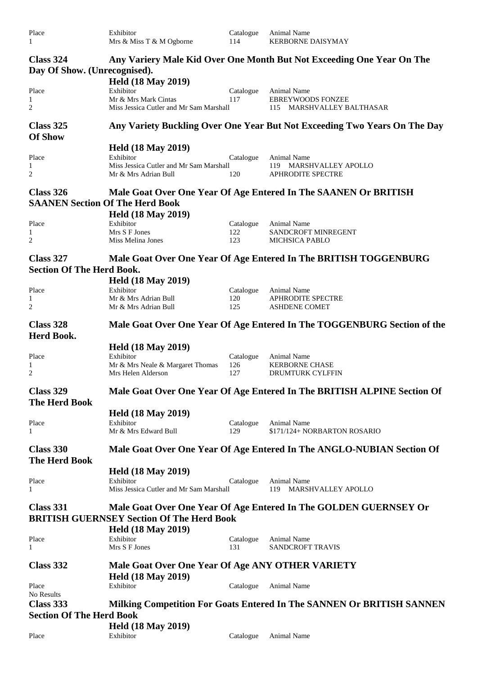| Place | Exhibitor                |     | Catalogue Animal Name    |
|-------|--------------------------|-----|--------------------------|
|       | Mrs & Miss T & M Ogborne | 114 | <b>KERBORNE DAISYMAY</b> |

| Class 324<br>Day Of Show. (Unrecognised). |                                                      |           | Any Variery Male Kid Over One Month But Not Exceeding One Year On The     |
|-------------------------------------------|------------------------------------------------------|-----------|---------------------------------------------------------------------------|
|                                           | <b>Held (18 May 2019)</b>                            |           |                                                                           |
| Place                                     | Exhibitor                                            | Catalogue | Animal Name                                                               |
| 1                                         | Mr & Mrs Mark Cintas                                 | 117       | <b>EBREYWOODS FONZEE</b>                                                  |
| $\overline{c}$                            | Miss Jessica Cutler and Mr Sam Marshall              |           | 115 MARSHVALLEY BALTHASAR                                                 |
| Class 325<br><b>Of Show</b>               |                                                      |           | Any Variety Buckling Over One Year But Not Exceeding Two Years On The Day |
|                                           | <b>Held (18 May 2019)</b>                            |           |                                                                           |
| Place                                     | Exhibitor                                            | Catalogue | Animal Name                                                               |
| 1                                         | Miss Jessica Cutler and Mr Sam Marshall              |           | 119 MARSHVALLEY APOLLO                                                    |
| $\overline{c}$                            | Mr & Mrs Adrian Bull                                 | 120       | <b>APHRODITE SPECTRE</b>                                                  |
| Class 326                                 |                                                      |           | Male Goat Over One Year Of Age Entered In The SAANEN Or BRITISH           |
| <b>SAANEN Section Of The Herd Book</b>    |                                                      |           |                                                                           |
|                                           | <b>Held (18 May 2019)</b>                            |           |                                                                           |
| Place                                     | Exhibitor                                            | Catalogue | Animal Name                                                               |
| 1                                         | Mrs S F Jones                                        | 122       | SANDCROFT MINREGENT                                                       |
| 2                                         | Miss Melina Jones                                    | 123       | <b>MICHSICA PABLO</b>                                                     |
| Class 327                                 |                                                      |           | Male Goat Over One Year Of Age Entered In The BRITISH TOGGENBURG          |
| <b>Section Of The Herd Book.</b>          |                                                      |           |                                                                           |
|                                           | <b>Held (18 May 2019)</b>                            |           |                                                                           |
| Place                                     | Exhibitor                                            | Catalogue | <b>Animal Name</b>                                                        |
| 1                                         | Mr & Mrs Adrian Bull                                 | 120       | <b>APHRODITE SPECTRE</b>                                                  |
| $\overline{2}$                            | Mr & Mrs Adrian Bull                                 | 125       | <b>ASHDENE COMET</b>                                                      |
| Class 328                                 |                                                      |           | Male Goat Over One Year Of Age Entered In The TOGGENBURG Section of the   |
| Herd Book.                                |                                                      |           |                                                                           |
|                                           | <b>Held (18 May 2019)</b>                            |           |                                                                           |
| Place                                     | Exhibitor                                            | Catalogue | Animal Name                                                               |
| $\mathbf{1}$                              | Mr & Mrs Neale & Margaret Thomas                     | 126       | <b>KERBORNE CHASE</b>                                                     |
| $\overline{2}$                            | Mrs Helen Alderson                                   | 127       | DRUMTURK CYLFFIN                                                          |
| <b>Class 329</b>                          |                                                      |           | Male Goat Over One Year Of Age Entered In The BRITISH ALPINE Section Of   |
| <b>The Herd Book</b>                      |                                                      |           |                                                                           |
|                                           | <b>Held (18 May 2019)</b>                            |           |                                                                           |
| Place                                     | Exhibitor                                            | Catalogue | Animal Name                                                               |
| 1                                         | Mr & Mrs Edward Bull                                 | 129       | \$171/124+ NORBARTON ROSARIO                                              |
|                                           |                                                      |           |                                                                           |
| Class 330                                 |                                                      |           | Male Goat Over One Year Of Age Entered In The ANGLO-NUBIAN Section Of     |
| <b>The Herd Book</b>                      |                                                      |           |                                                                           |
|                                           | <b>Held (18 May 2019)</b>                            |           |                                                                           |
| Place<br>1                                | Exhibitor<br>Miss Jessica Cutler and Mr Sam Marshall | Catalogue | Animal Name<br>119 MARSHVALLEY APOLLO                                     |
|                                           |                                                      |           |                                                                           |
| Class 331                                 |                                                      |           | Male Goat Over One Year Of Age Entered In The GOLDEN GUERNSEY Or          |
|                                           | <b>BRITISH GUERNSEY Section Of The Herd Book</b>     |           |                                                                           |
|                                           | <b>Held (18 May 2019)</b>                            |           |                                                                           |
| Place                                     | Exhibitor                                            | Catalogue | Animal Name                                                               |
| 1                                         | Mrs S F Jones                                        | 131       | <b>SANDCROFT TRAVIS</b>                                                   |
| Class 332                                 | Male Goat Over One Year Of Age ANY OTHER VARIETY     |           |                                                                           |
|                                           | <b>Held (18 May 2019)</b>                            |           |                                                                           |
| Place                                     | Exhibitor                                            | Catalogue | Animal Name                                                               |
| No Results                                |                                                      |           |                                                                           |
| Class 333                                 |                                                      |           | Milking Competition For Goats Entered In The SANNEN Or BRITISH SANNEN     |
| <b>Section Of The Herd Book</b>           |                                                      |           |                                                                           |
|                                           | <b>Held (18 May 2019)</b>                            |           |                                                                           |
| Place                                     | Exhibitor                                            | Catalogue | Animal Name                                                               |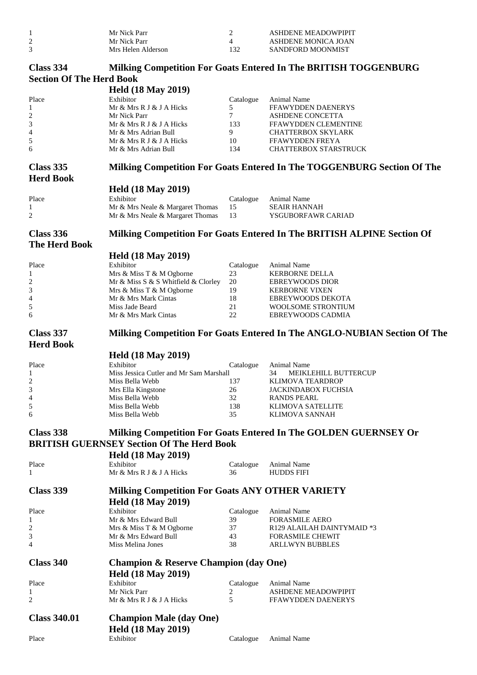| Mr Nick Parr       |     | ASHDENE MEADOWPIPIT |
|--------------------|-----|---------------------|
| Mr Nick Parr       |     | ASHDENE MONICA JOAN |
| Mrs Helen Alderson | 132 | SANDFORD MOONMIST   |

#### **Class 334 Milking Competition For Goats Entered In The BRITISH TOGGENBURG Section Of The Herd Book**

| beenon of the hera boom     | <b>Held (18 May 2019)</b>                              |           |                                                                          |
|-----------------------------|--------------------------------------------------------|-----------|--------------------------------------------------------------------------|
| Place                       | Exhibitor                                              | Catalogue | Animal Name                                                              |
| 1                           | Mr & Mrs R J & J A Hicks                               | 5         | FFAWYDDEN DAENERYS                                                       |
| $\overline{\mathbf{c}}$     | Mr Nick Parr                                           | 7         | ASHDENE CONCETTA                                                         |
| 3                           | Mr & Mrs R J & J A Hicks                               | 133       | FFAWYDDEN CLEMENTINE                                                     |
| 4                           | Mr & Mrs Adrian Bull                                   | 9         | <b>CHATTERBOX SKYLARK</b>                                                |
| $\mathfrak s$               | Mr & Mrs R J & J A Hicks                               | 10        | FFAWYDDEN FREYA                                                          |
| 6                           | Mr & Mrs Adrian Bull                                   | 134       | <b>CHATTERBOX STARSTRUCK</b>                                             |
|                             |                                                        |           |                                                                          |
| Class 335                   |                                                        |           | Milking Competition For Goats Entered In The TOGGENBURG Section Of The   |
| <b>Herd Book</b>            |                                                        |           |                                                                          |
|                             | <b>Held (18 May 2019)</b>                              |           |                                                                          |
| Place                       | Exhibitor                                              | Catalogue | Animal Name                                                              |
| 1                           | Mr & Mrs Neale & Margaret Thomas                       | 15        | <b>SEAIR HANNAH</b>                                                      |
| $\overline{\mathbf{c}}$     | Mr & Mrs Neale & Margaret Thomas                       | 13        | YSGUBORFAWR CARIAD                                                       |
| Class 336                   |                                                        |           | Milking Competition For Goats Entered In The BRITISH ALPINE Section Of   |
| <b>The Herd Book</b>        |                                                        |           |                                                                          |
|                             |                                                        |           |                                                                          |
|                             | <b>Held (18 May 2019)</b>                              |           |                                                                          |
| Place                       | Exhibitor                                              | Catalogue | Animal Name                                                              |
| 1                           | Mrs & Miss T & M Ogborne                               | 23        | <b>KERBORNE DELLA</b>                                                    |
| $\overline{\mathbf{c}}$     | Mr & Miss S & S Whitfield & Clorley                    | 20        | <b>EBREYWOODS DIOR</b>                                                   |
| 3                           | Mrs & Miss T & M Ogborne                               | 19        | <b>KERBORNE VIXEN</b>                                                    |
| 4                           | Mr & Mrs Mark Cintas                                   | 18        | EBREYWOODS DEKOTA                                                        |
| $\mathfrak s$               | Miss Jade Beard                                        | 21        | <b>WOOLSOME STRONTIUM</b>                                                |
| 6                           | Mr & Mrs Mark Cintas                                   | 22        | EBREYWOODS CADMIA                                                        |
| Class 337                   |                                                        |           | Milking Competition For Goats Entered In The ANGLO-NUBIAN Section Of The |
| <b>Herd Book</b>            |                                                        |           |                                                                          |
|                             |                                                        |           |                                                                          |
|                             | <b>Held (18 May 2019)</b>                              |           |                                                                          |
| Place                       | Exhibitor                                              | Catalogue | Animal Name                                                              |
| 1                           | Miss Jessica Cutler and Mr Sam Marshall                |           | 34<br>MEIKLEHILL BUTTERCUP                                               |
| $\overline{\mathbf{c}}$     | Miss Bella Webb                                        | 137       | KLIMOVA TEARDROP                                                         |
| $\ensuremath{\mathfrak{Z}}$ | Mrs Ella Kingstone                                     | 26        | JACKINDABOX FUCHSIA                                                      |
| $\overline{\mathcal{L}}$    | Miss Bella Webb                                        | 32        | <b>RANDS PEARL</b>                                                       |
| 5                           | Miss Bella Webb                                        | 138       | <b>KLIMOVA SATELLITE</b>                                                 |
| 6                           | Miss Bella Webb                                        | 35        | KLIMOVA SANNAH                                                           |
|                             |                                                        |           |                                                                          |
| Class 338                   |                                                        |           | <b>Milking Competition For Goats Entered In The GOLDEN GUERNSEY Or</b>   |
|                             | <b>BRITISH GUERNSEY Section Of The Herd Book</b>       |           |                                                                          |
|                             | <b>Held (18 May 2019)</b>                              |           |                                                                          |
| Place                       | Exhibitor                                              | Catalogue | Animal Name                                                              |
| 1                           | Mr & Mrs R J & J A Hicks                               | 36        | <b>HUDDS FIFI</b>                                                        |
|                             |                                                        |           |                                                                          |
| <b>Class 339</b>            | <b>Milking Competition For Goats ANY OTHER VARIETY</b> |           |                                                                          |
|                             | <b>Held (18 May 2019)</b>                              |           |                                                                          |
| Place                       | Exhibitor                                              | Catalogue | Animal Name                                                              |
| 1                           | Mr & Mrs Edward Bull                                   | 39        | <b>FORASMILE AERO</b>                                                    |
| 2                           |                                                        | 37        | R129 ALAILAH DAINTYMAID *3                                               |
| 3                           | Mrs & Miss T & M Ogborne<br>Mr & Mrs Edward Bull       | 43        | <b>FORASMILE CHEWIT</b>                                                  |
| 4                           | Miss Melina Jones                                      | 38        | <b>ARLLWYN BUBBLES</b>                                                   |
|                             |                                                        |           |                                                                          |
| Class 340                   | <b>Champion &amp; Reserve Champion (day One)</b>       |           |                                                                          |
|                             | <b>Held (18 May 2019)</b>                              |           |                                                                          |
|                             |                                                        |           |                                                                          |
| Place                       | Exhibitor                                              | Catalogue | Animal Name                                                              |
| 1                           | Mr Nick Parr                                           | 2         | <b>ASHDENE MEADOWPIPIT</b>                                               |
| 2                           | Mr & Mrs R J & J A Hicks                               | 5         | <b>FFAWYDDEN DAENERYS</b>                                                |
| <b>Class 340.01</b>         | <b>Champion Male (day One)</b>                         |           |                                                                          |
|                             |                                                        |           |                                                                          |
|                             | <b>Held (18 May 2019)</b>                              |           |                                                                          |
| Place                       | Exhibitor                                              | Catalogue | Animal Name                                                              |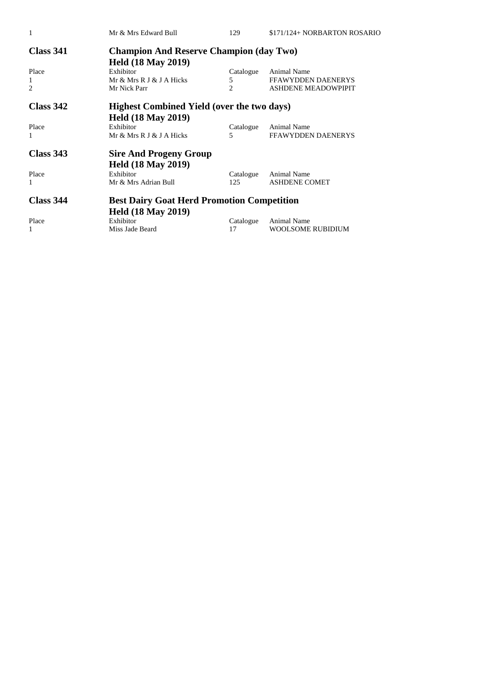| 1                | Mr & Mrs Edward Bull                              | 129            | \$171/124+ NORBARTON ROSARIO |  |
|------------------|---------------------------------------------------|----------------|------------------------------|--|
| <b>Class 341</b> | <b>Champion And Reserve Champion (day Two)</b>    |                |                              |  |
|                  | <b>Held (18 May 2019)</b>                         |                |                              |  |
| Place            | Exhibitor                                         | Catalogue      | <b>Animal Name</b>           |  |
| 1                | Mr & Mrs R J & J A Hicks                          | 5              | <b>FFAWYDDEN DAENERYS</b>    |  |
| $\overline{c}$   | Mr Nick Parr                                      | $\mathfrak{D}$ | <b>ASHDENE MEADOWPIPIT</b>   |  |
| Class 342        | <b>Highest Combined Yield (over the two days)</b> |                |                              |  |
|                  | <b>Held (18 May 2019)</b>                         |                |                              |  |
| Place            | Exhibitor                                         | Catalogue      | Animal Name                  |  |
| 1                | Mr & Mrs R J & J A Hicks                          | 5              | <b>FFAWYDDEN DAENERYS</b>    |  |
| <b>Class 343</b> | <b>Sire And Progeny Group</b>                     |                |                              |  |
|                  | <b>Held (18 May 2019)</b>                         |                |                              |  |
| Place            | Exhibitor                                         | Catalogue      | <b>Animal Name</b>           |  |
| 1                | Mr & Mrs Adrian Bull                              | 125            | <b>ASHDENE COMET</b>         |  |
| Class 344        | <b>Best Dairy Goat Herd Promotion Competition</b> |                |                              |  |
|                  | <b>Held (18 May 2019)</b>                         |                |                              |  |
| Place            | Exhibitor                                         | Catalogue      | <b>Animal Name</b>           |  |
| 1                | Miss Jade Beard                                   | 17             | WOOLSOME RUBIDIUM            |  |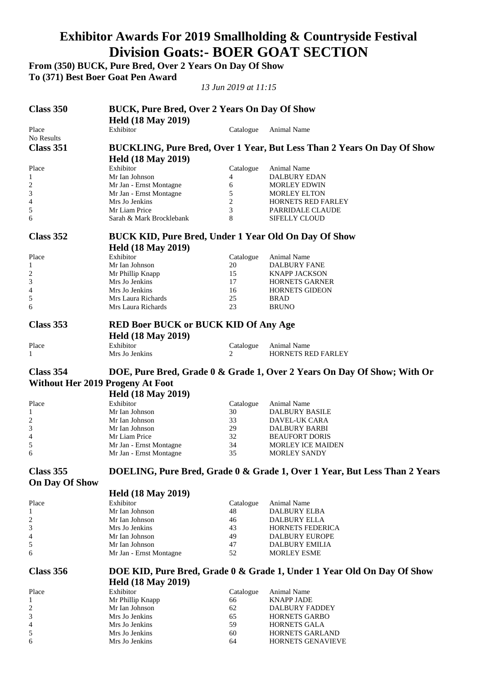# **Exhibitor Awards For 2019 Smallholding & Countryside Festival Division Goats:- BOER GOAT SECTION**

**From (350) BUCK, Pure Bred, Over 2 Years On Day Of Show To (371) Best Boer Goat Pen Award** 

*13 Jun 2019 at 11:15* 

| Class 350                               | <b>BUCK, Pure Bred, Over 2 Years On Day Of Show</b>         |                 |                                                                           |  |
|-----------------------------------------|-------------------------------------------------------------|-----------------|---------------------------------------------------------------------------|--|
|                                         | <b>Held (18 May 2019)</b>                                   |                 |                                                                           |  |
| Place<br>No Results                     | Exhibitor                                                   | Catalogue       | Animal Name                                                               |  |
| Class 351                               |                                                             |                 | BUCKLING, Pure Bred, Over 1 Year, But Less Than 2 Years On Day Of Show    |  |
|                                         |                                                             |                 |                                                                           |  |
|                                         | <b>Held (18 May 2019)</b>                                   |                 |                                                                           |  |
| Place                                   | Exhibitor<br>Mr Ian Johnson                                 | Catalogue<br>4  | Animal Name<br>DALBURY EDAN                                               |  |
| 1<br>2                                  | Mr Jan - Ernst Montagne                                     | 6               | <b>MORLEY EDWIN</b>                                                       |  |
| 3                                       | Mr Jan - Ernst Montagne                                     | 5               | <b>MORLEY ELTON</b>                                                       |  |
| 4                                       | Mrs Jo Jenkins                                              | $\overline{c}$  | HORNETS RED FARLEY                                                        |  |
| 5                                       | Mr Liam Price                                               | 3               | PARRIDALE CLAUDE                                                          |  |
| 6                                       | Sarah & Mark Brocklebank                                    | 8               | <b>SIFELLY CLOUD</b>                                                      |  |
| Class 352                               | <b>BUCK KID, Pure Bred, Under 1 Year Old On Day Of Show</b> |                 |                                                                           |  |
|                                         | <b>Held (18 May 2019)</b>                                   |                 |                                                                           |  |
| Place                                   | Exhibitor                                                   | Catalogue       | Animal Name                                                               |  |
| 1                                       | Mr Ian Johnson                                              | 20              | <b>DALBURY FANE</b>                                                       |  |
| $\overline{c}$                          | Mr Phillip Knapp                                            | 15              | <b>KNAPP JACKSON</b>                                                      |  |
| 3                                       | Mrs Jo Jenkins                                              | 17              | HORNETS GARNER                                                            |  |
| 4                                       | Mrs Jo Jenkins                                              | 16              | <b>HORNETS GIDEON</b>                                                     |  |
| 5                                       | Mrs Laura Richards                                          | 25              | <b>BRAD</b>                                                               |  |
| 6                                       | Mrs Laura Richards                                          | 23              | <b>BRUNO</b>                                                              |  |
| Class 353                               | <b>RED Boer BUCK or BUCK KID Of Any Age</b>                 |                 |                                                                           |  |
|                                         | <b>Held (18 May 2019)</b>                                   |                 |                                                                           |  |
| Place                                   | Exhibitor                                                   | Catalogue       | Animal Name                                                               |  |
| 1                                       | Mrs Jo Jenkins                                              | 2               | HORNETS RED FARLEY                                                        |  |
| Class 354                               |                                                             |                 | DOE, Pure Bred, Grade 0 & Grade 1, Over 2 Years On Day Of Show; With Or   |  |
| <b>Without Her 2019 Progeny At Foot</b> |                                                             |                 |                                                                           |  |
|                                         | <b>Held (18 May 2019)</b>                                   |                 |                                                                           |  |
|                                         |                                                             |                 |                                                                           |  |
| Place<br>1                              | Exhibitor<br>Mr Ian Johnson                                 | Catalogue<br>30 | Animal Name<br><b>DALBURY BASILE</b>                                      |  |
| $\overline{c}$                          | Mr Ian Johnson                                              | 33              | DAVEL-UK CARA                                                             |  |
| 3                                       | Mr Ian Johnson                                              | 29              | DALBURY BARBI                                                             |  |
| 4                                       | Mr Liam Price                                               | 32              | <b>BEAUFORT DORIS</b>                                                     |  |
| 5                                       | Mr Jan - Ernst Montagne                                     | 34              | <b>MORLEY ICE MAIDEN</b>                                                  |  |
| 6                                       | Mr Jan - Ernst Montagne                                     | 35              | <b>MORLEY SANDY</b>                                                       |  |
| Class 355                               |                                                             |                 | DOELING, Pure Bred, Grade 0 & Grade 1, Over 1 Year, But Less Than 2 Years |  |
| <b>On Day Of Show</b>                   |                                                             |                 |                                                                           |  |
|                                         | <b>Held (18 May 2019)</b>                                   |                 |                                                                           |  |
| Place                                   | Exhibitor                                                   | Catalogue       | Animal Name                                                               |  |
| 1                                       | Mr Ian Johnson                                              | 48              | DALBURY ELBA                                                              |  |
| 2                                       | Mr Ian Johnson                                              | 46              | DALBURY ELLA                                                              |  |
| 3                                       | Mrs Jo Jenkins                                              | 43              | HORNETS FEDERICA                                                          |  |
| 4                                       | Mr Ian Johnson                                              | 49              | <b>DALBURY EUROPE</b>                                                     |  |
| 5                                       | Mr Ian Johnson                                              | 47              | <b>DALBURY EMILIA</b>                                                     |  |
| 6                                       | Mr Jan - Ernst Montagne                                     | 52              | <b>MORLEY ESME</b>                                                        |  |
| Class 356                               |                                                             |                 | DOE KID, Pure Bred, Grade 0 & Grade 1, Under 1 Year Old On Day Of Show    |  |
|                                         | <b>Held (18 May 2019)</b>                                   |                 |                                                                           |  |
| Place                                   | Exhibitor                                                   | Catalogue       | Animal Name                                                               |  |
| 1                                       | Mr Phillip Knapp                                            | 66              | <b>KNAPP JADE</b>                                                         |  |
| 2                                       | Mr Ian Johnson                                              | 62              | <b>DALBURY FADDEY</b>                                                     |  |
| 3                                       | Mrs Jo Jenkins                                              | 65              | <b>HORNETS GARBO</b>                                                      |  |
| 4                                       | Mrs Jo Jenkins                                              | 59              | HORNETS GALA                                                              |  |
| 5                                       | Mrs Jo Jenkins                                              | 60              | HORNETS GARLAND                                                           |  |
| 6                                       | Mrs Jo Jenkins                                              | 64              | HORNETS GENAVIEVE                                                         |  |